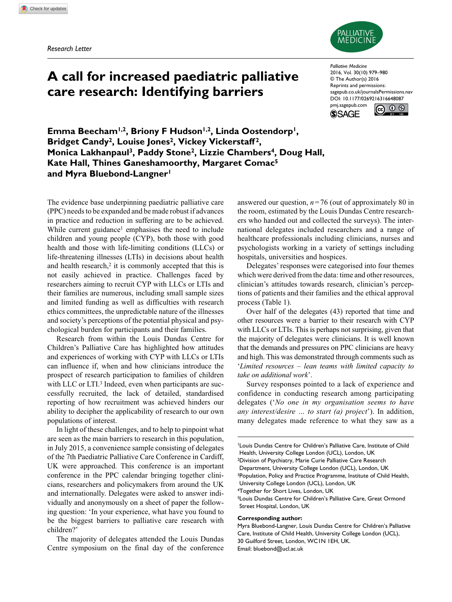*Research Letter*



# **A call for increased paediatric palliative care research: Identifying barriers**

*Palliative Medicine* 2016, Vol. 30(10) 979–980 © The Author(s) 2016 Reprints and permissions: sagepub.co.uk/journalsPermissions.nav DOI: 10.1177/0269216316648087 pmj.sagepub.com



@ ⊙ ®

Emma Beecham<sup>1,2</sup>, Briony F Hudson<sup>1,2</sup>, Linda Oostendorp<sup>1</sup>, **Bridget Candy2, Louise Jones2, Vickey Vickerstaff 2, Monica Lakhanpaul3, Paddy Stone2, Lizzie Chambers4, Doug Hall, Kate Hall, Thines Ganeshamoorthy, Margaret Comac5 and Myra Bluebond-Langner1**

The evidence base underpinning paediatric palliative care (PPC) needs to be expanded and be made robust if advances in practice and reduction in suffering are to be achieved. While current guidance<sup>1</sup> emphasises the need to include children and young people (CYP), both those with good health and those with life-limiting conditions (LLCs) or life-threatening illnesses (LTIs) in decisions about health and health research, $2$  it is commonly accepted that this is not easily achieved in practice. Challenges faced by researchers aiming to recruit CYP with LLCs or LTIs and their families are numerous, including small sample sizes and limited funding as well as difficulties with research ethics committees, the unpredictable nature of the illnesses and society's perceptions of the potential physical and psychological burden for participants and their families.

Research from within the Louis Dundas Centre for Children's Palliative Care has highlighted how attitudes and experiences of working with CYP with LLCs or LTIs can influence if, when and how clinicians introduce the prospect of research participation to families of children with LLC or LTI.<sup>3</sup> Indeed, even when participants are successfully recruited, the lack of detailed, standardised reporting of how recruitment was achieved hinders our ability to decipher the applicability of research to our own populations of interest.

In light of these challenges, and to help to pinpoint what are seen as the main barriers to research in this population, in July 2015, a convenience sample consisting of delegates of the 7th Paediatric Palliative Care Conference in Cardiff, UK were approached. This conference is an important conference in the PPC calendar bringing together clinicians, researchers and policymakers from around the UK and internationally. Delegates were asked to answer individually and anonymously on a sheet of paper the following question: 'In your experience, what have you found to be the biggest barriers to palliative care research with children?'

The majority of delegates attended the Louis Dundas Centre symposium on the final day of the conference answered our question, *n*=76 (out of approximately 80 in the room, estimated by the Louis Dundas Centre researchers who handed out and collected the surveys). The international delegates included researchers and a range of healthcare professionals including clinicians, nurses and psychologists working in a variety of settings including hospitals, universities and hospices.

Delegates' responses were categorised into four themes which were derived from the data: time and other resources, clinician's attitudes towards research, clinician's perceptions of patients and their families and the ethical approval process (Table 1).

Over half of the delegates (43) reported that time and other resources were a barrier to their research with CYP with LLCs or LTIs. This is perhaps not surprising, given that the majority of delegates were clinicians. It is well known that the demands and pressures on PPC clinicians are heavy and high. This was demonstrated through comments such as '*Limited resources – lean teams with limited capacity to take on additional work*'.

Survey responses pointed to a lack of experience and confidence in conducting research among participating delegates ('*No one in my organisation seems to have any interest/desire … to start (a) project*'). In addition, many delegates made reference to what they saw as a

1Louis Dundas Centre for Children's Palliative Care, Institute of Child Health, University College London (UCL), London, UK 2Division of Psychiatry, Marie Curie Palliative Care Research Department, University College London (UCL), London, UK <sup>3</sup>Population, Policy and Practice Programme, Institute of Child Health, University College London (UCL), London, UK 4Together for Short Lives, London, UK 5Louis Dundas Centre for Children's Palliative Care, Great Ormond Street Hospital, London, UK

## **Corresponding author:**

Myra Bluebond-Langner, Louis Dundas Centre for Children's Palliative Care, Institute of Child Health, University College London (UCL), 30 Guilford Street, London, WC1N 1EH, UK. Email: [bluebond@ucl.ac.uk](mailto:bluebond@ucl.ac.uk)